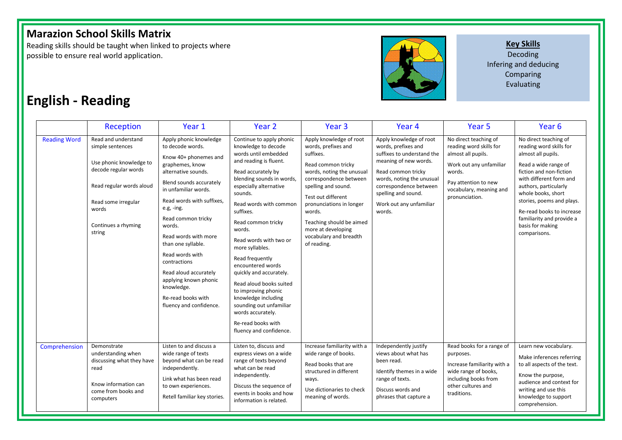## **Marazion School Skills Matrix**

Reading skills should be taught when linked to projects where possible to ensure real world application.



**Key Skills** 

Decoding Infering and deducing Comparing Evaluating

## **English - Reading**

|                     | <b>Reception</b>                                                                                                                                                                        | Year 1                                                                                                                                                                                                                                                                                                                                                                                                                                        | Year 2                                                                                                                                                                                                                                                                                                                                                                                                                                                                                                                                                     | Year <sub>3</sub>                                                                                                                                                                                                                                                                                                      | Year <sub>4</sub>                                                                                                                                                                                                                              | Year <sub>5</sub>                                                                                                                                                                | Year <sub>6</sub>                                                                                                                                                                                                                                                                                                              |
|---------------------|-----------------------------------------------------------------------------------------------------------------------------------------------------------------------------------------|-----------------------------------------------------------------------------------------------------------------------------------------------------------------------------------------------------------------------------------------------------------------------------------------------------------------------------------------------------------------------------------------------------------------------------------------------|------------------------------------------------------------------------------------------------------------------------------------------------------------------------------------------------------------------------------------------------------------------------------------------------------------------------------------------------------------------------------------------------------------------------------------------------------------------------------------------------------------------------------------------------------------|------------------------------------------------------------------------------------------------------------------------------------------------------------------------------------------------------------------------------------------------------------------------------------------------------------------------|------------------------------------------------------------------------------------------------------------------------------------------------------------------------------------------------------------------------------------------------|----------------------------------------------------------------------------------------------------------------------------------------------------------------------------------|--------------------------------------------------------------------------------------------------------------------------------------------------------------------------------------------------------------------------------------------------------------------------------------------------------------------------------|
| <b>Reading Word</b> | Read and understand<br>simple sentences<br>Use phonic knowledge to<br>decode regular words<br>Read regular words aloud<br>Read some irregular<br>words<br>Continues a rhyming<br>string | Apply phonic knowledge<br>to decode words.<br>Know 40+ phonemes and<br>graphemes, know<br>alternative sounds.<br>Blend sounds accurately<br>in unfamiliar words.<br>Read words with suffixes.<br>e.g, -ing.<br>Read common tricky<br>words.<br>Read words with more<br>than one syllable.<br>Read words with<br>contractions<br>Read aloud accurately<br>applying known phonic<br>knowledge.<br>Re-read books with<br>fluency and confidence. | Continue to apply phonic<br>knowledge to decode<br>words until embedded<br>and reading is fluent.<br>Read accurately by<br>blending sounds in words,<br>especially alternative<br>sounds.<br>Read words with common<br>suffixes.<br>Read common tricky<br>words.<br>Read words with two or<br>more syllables.<br>Read frequently<br>encountered words<br>quickly and accurately.<br>Read aloud books suited<br>to improving phonic<br>knowledge including<br>sounding out unfamiliar<br>words accurately.<br>Re-read books with<br>fluency and confidence. | Apply knowledge of root<br>words, prefixes and<br>suffixes.<br>Read common tricky<br>words, noting the unusual<br>correspondence between<br>spelling and sound.<br>Test out different<br>pronunciations in longer<br>words.<br>Teaching should be aimed<br>more at developing<br>vocabulary and breadth<br>of reading. | Apply knowledge of root<br>words, prefixes and<br>suffixes to understand the<br>meaning of new words.<br>Read common tricky<br>words, noting the unusual<br>correspondence between<br>spelling and sound.<br>Work out any unfamiliar<br>words. | No direct teaching of<br>reading word skills for<br>almost all pupils.<br>Work out any unfamiliar<br>words.<br>Pay attention to new<br>vocabulary, meaning and<br>pronunciation. | No direct teaching of<br>reading word skills for<br>almost all pupils.<br>Read a wide range of<br>fiction and non-fiction<br>with different form and<br>authors, particularly<br>whole books, short<br>stories, poems and plays.<br>Re-read books to increase<br>familiarity and provide a<br>basis for making<br>comparisons. |
| Comprehension       | Demonstrate<br>understanding when<br>discussing what they have<br>read<br>Know information can<br>come from books and<br>computers                                                      | Listen to and discuss a<br>wide range of texts<br>beyond what can be read<br>independently.<br>Link what has been read<br>to own experiences.<br>Retell familiar key stories.                                                                                                                                                                                                                                                                 | Listen to, discuss and<br>express views on a wide<br>range of texts beyond<br>what can be read<br>independently.<br>Discuss the sequence of<br>events in books and how<br>information is related.                                                                                                                                                                                                                                                                                                                                                          | Increase familiarity with a<br>wide range of books.<br>Read books that are<br>structured in different<br>ways.<br>Use dictionaries to check<br>meaning of words.                                                                                                                                                       | Independently justify<br>views about what has<br>been read.<br>Identify themes in a wide<br>range of texts.<br>Discuss words and<br>phrases that capture a                                                                                     | Read books for a range of<br>purposes.<br>Increase familiarity with a<br>wide range of books,<br>including books from<br>other cultures and<br>traditions.                       | Learn new vocabulary.<br>Make inferences referring<br>to all aspects of the text.<br>Know the purpose,<br>audience and context for<br>writing and use this<br>knowledge to support<br>comprehension.                                                                                                                           |